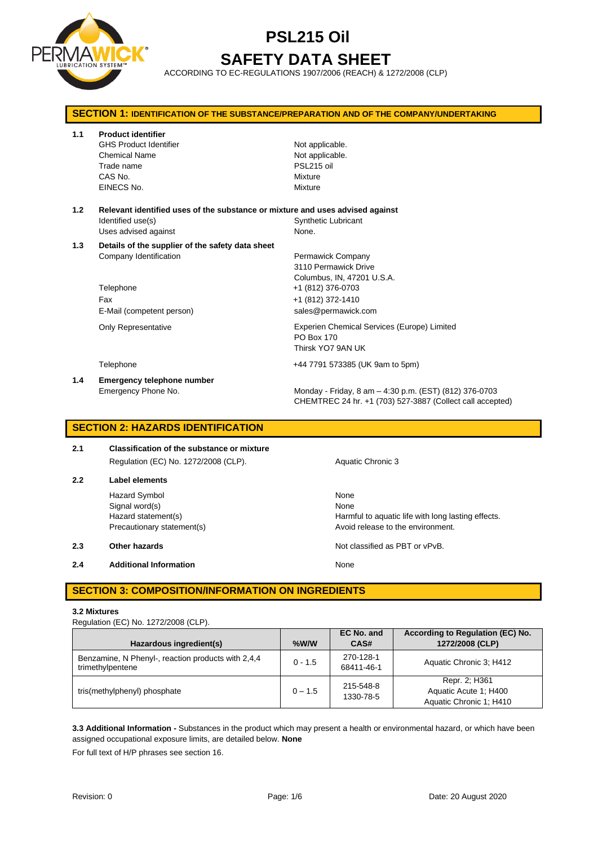

# **PSL215 Oil SAFETY DATA SHEET**

ACCORDING TO EC-REGULATIONS 1907/2006 (REACH) & 1272/2008 (CLP)

| <b>SECTION 1: IDENTIFICATION OF THE SUBSTANCE/PREPARATION AND OF THE COMPANY/UNDERTAKING</b> |                                                                                                                             |                                                                                                                                          |  |
|----------------------------------------------------------------------------------------------|-----------------------------------------------------------------------------------------------------------------------------|------------------------------------------------------------------------------------------------------------------------------------------|--|
| 1.1                                                                                          | <b>Product identifier</b><br><b>GHS Product Identifier</b><br><b>Chemical Name</b><br>Trade name<br>CAS No.<br>EINECS No.   | Not applicable.<br>Not applicable.<br>PSL215 oil<br>Mixture<br>Mixture                                                                   |  |
| 1.2                                                                                          | Relevant identified uses of the substance or mixture and uses advised against<br>Identified use(s)<br>Uses advised against  | <b>Synthetic Lubricant</b><br>None.                                                                                                      |  |
| 1.3                                                                                          | Details of the supplier of the safety data sheet<br>Company Identification<br>Telephone<br>Fax<br>E-Mail (competent person) | Permawick Company<br>3110 Permawick Drive<br>Columbus, IN, 47201 U.S.A.<br>+1 (812) 376-0703<br>+1 (812) 372-1410<br>sales@permawick.com |  |
|                                                                                              | <b>Only Representative</b>                                                                                                  | Experien Chemical Services (Europe) Limited<br>PO Box 170<br>Thirsk YO7 9AN UK                                                           |  |
|                                                                                              | Telephone                                                                                                                   | +44 7791 573385 (UK 9am to 5pm)                                                                                                          |  |
| 1.4                                                                                          | <b>Emergency telephone number</b><br>Emergency Phone No.                                                                    | Monday - Friday, 8 am - 4:30 p.m. (EST) (812) 376-0703<br>CHEMTREC 24 hr. +1 (703) 527-3887 (Collect call accepted)                      |  |

## **SECTION 2: HAZARDS IDENTIFICATION**

| 2.1 | Classification of the substance or mixture |  |  |  |
|-----|--------------------------------------------|--|--|--|
|     | Regulation (EC) No. 1272/2008 (CLP).       |  |  |  |

**2.2 Label elements** Hazard Symbol None Signal word(s) None

**2.4 Additional Information None** 

Aquatic Chronic 3

Hazard statement(s) **Harmful to aquatic life with long lasting effects.** Precautionary statement(s) example a provid release to the environment.

**2.3 Other hazards Details According to the COVID-100 Motion COVID-100 Motion COVID-100 Motion COVID-100 Motion COVID-100 Motion COVID-100 Motion COVID-100 Motion COVID-100 Motion COVID-100 Motion COVID-100 Motion COVI** 

# **SECTION 3: COMPOSITION/INFORMATION ON INGREDIENTS**

#### **3.2 Mixtures**

Regulation (EC) No. 1272/2008 (CLP).

| Hazardous ingredient(s)                                                | $%$ W/W   | EC No. and<br>CAS#      | According to Regulation (EC) No.<br>1272/2008 (CLP)               |
|------------------------------------------------------------------------|-----------|-------------------------|-------------------------------------------------------------------|
| Benzamine, N Phenyl-, reaction products with 2,4,4<br>trimethylpentene | $0 - 1.5$ | 270-128-1<br>68411-46-1 | Aquatic Chronic 3: H412                                           |
| tris(methylphenyl) phosphate                                           | $0 - 1.5$ | 215-548-8<br>1330-78-5  | Repr. 2; H361<br>Aquatic Acute 1: H400<br>Aquatic Chronic 1; H410 |

**3.3 Additional Information -** Substances in the product which may present a health or environmental hazard, or which have been assigned occupational exposure limits, are detailed below. **None**

For full text of H/P phrases see section 16.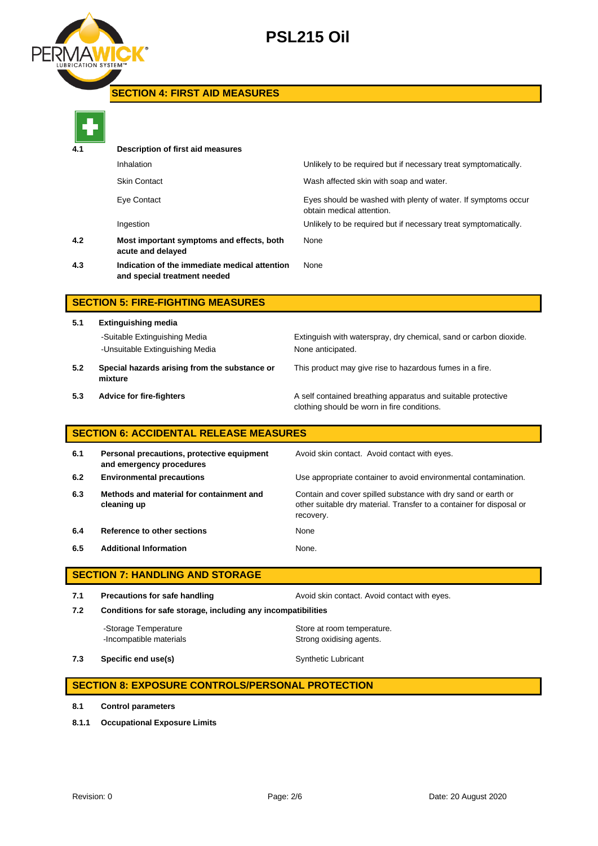

# **PSL215 Oil**

# **SECTION 4: FIRST AID MEASURES**

| 4.1 | Description of first aid measures                                             |                                                                                            |
|-----|-------------------------------------------------------------------------------|--------------------------------------------------------------------------------------------|
|     | Inhalation                                                                    | Unlikely to be required but if necessary treat symptomatically.                            |
|     | <b>Skin Contact</b>                                                           | Wash affected skin with soap and water.                                                    |
|     | Eye Contact                                                                   | Eyes should be washed with plenty of water. If symptoms occur<br>obtain medical attention. |
|     | Ingestion                                                                     | Unlikely to be required but if necessary treat symptomatically.                            |
| 4.2 | Most important symptoms and effects, both<br>acute and delayed                | None                                                                                       |
| 4.3 | Indication of the immediate medical attention<br>and special treatment needed | None                                                                                       |
|     |                                                                               |                                                                                            |

# **SECTION 5: FIRE-FIGHTING MEASURES**

**5.1 Extinguishing media** -Suitable Extinguishing Media Extinguish with waterspray, dry chemical, sand or carbon dioxide. -Unsuitable Extinguishing Media None anticipated. **5.2 Special hazards arising from the substance or mixture**

This product may give rise to hazardous fumes in a fire.

**5.3 Advice for fire-fighters A self** contained breathing apparatus and suitable protective clothing should be worn in fire conditions.

# **SECTION 6: ACCIDENTAL RELEASE MEASURES**

| 6.1 | Personal precautions, protective equipment<br>and emergency procedures | Avoid skin contact. Avoid contact with eyes.                                                                                                       |
|-----|------------------------------------------------------------------------|----------------------------------------------------------------------------------------------------------------------------------------------------|
| 6.2 | <b>Environmental precautions</b>                                       | Use appropriate container to avoid environmental contamination.                                                                                    |
| 6.3 | Methods and material for containment and<br>cleaning up                | Contain and cover spilled substance with dry sand or earth or<br>other suitable dry material. Transfer to a container for disposal or<br>recovery. |
| 6.4 | Reference to other sections                                            | None                                                                                                                                               |
| 6.5 | <b>Additional Information</b>                                          | None.                                                                                                                                              |

# **SECTION 7: HANDLING AND STORAGE**

**7.1 Precautions for safe handling Avoid skin contact. Avoid contact with eyes. 7.2 Conditions for safe storage, including any incompatibilities** -Storage Temperature **Store at room temperature.** 

-Incompatible materials **Strong oxidising agents**.

**7.3 Specific end use(s)** Synthetic Lubricant

# **SECTION 8: EXPOSURE CONTROLS/PERSONAL PROTECTION**

- **8.1 Control parameters**
- **8.1.1 Occupational Exposure Limits**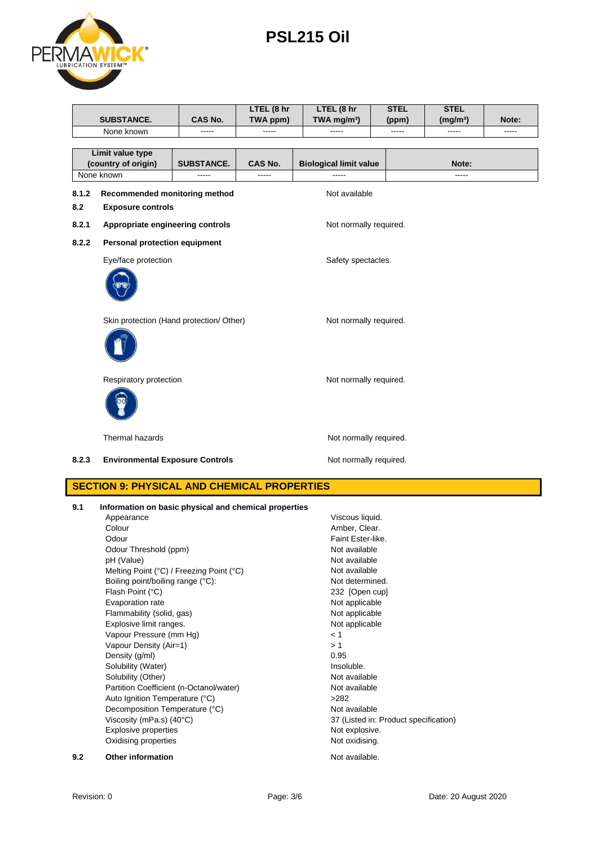Solubility (Water)

Auto Ignition Temperature (°C)

Odour **Faint Ester-like.** Odour Threshold (ppm) Not available<br>
DH (Value) Not available<br>
Not available pH (Value) <br>
Mot available Melting Point (°C) / Freezing Point (°C) <br>
Not available

Boiling point/boiling range (°C): Not determined. Flash Point (°C) 232 [Open cup] Evaporation rate **Not applicable** Flammability (solid, gas) Not applicable Explosive limit ranges. The contract of the contract of the Not applicable

Solubility (Other) Not available Partition Coefficient (n-Octanol/water) Not available<br>
Auto Ignition Temperature (°C) >282

Decomposition Temperature (°C) Not available<br>Viscosity (mPa.s) (40°C) 37 (Listed in:

Explosive properties Not explosive. Oxidising properties Not oxidising.

**9.2 Other information Not available.** 

Vapour Pressure (mm Hg) < 1 Vapour Density (Air=1)  $> 1$ <br>Density (a/ml)  $0.95$ Density (g/ml)  $0.95$ <br>
Solubility (Water) and the contract of the contract of the contract of the contract of the contract of the contract of the contract of the contract of the contract of the contract of the contract of

Melting Point (°C) / Freezing Point (°C)

37 (Listed in: Product specification)

|       |                                                                               |                   | LTEL (8 hr | LTEL (8 hr                       | <b>STEL</b> | <b>STEL</b>          |       |  |
|-------|-------------------------------------------------------------------------------|-------------------|------------|----------------------------------|-------------|----------------------|-------|--|
|       | <b>SUBSTANCE.</b>                                                             | CAS No.           | TWA ppm)   | TWA mg/m <sup>3</sup> )          | (ppm)       | (mg/m <sup>3</sup> ) | Note: |  |
|       | None known                                                                    |                   | -----      | -----                            |             | -----                |       |  |
|       | Limit value type                                                              |                   |            |                                  |             |                      |       |  |
|       | (country of origin)                                                           | <b>SUBSTANCE.</b> | CAS No.    | <b>Biological limit value</b>    |             | Note:                |       |  |
|       | None known                                                                    | -----             | $\cdots$   | -----                            |             | -----                |       |  |
| 8.1.2 | Recommended monitoring method                                                 |                   |            | Not available                    |             |                      |       |  |
| 8.2   | <b>Exposure controls</b>                                                      |                   |            |                                  |             |                      |       |  |
| 8.2.1 | Appropriate engineering controls                                              |                   |            | Not normally required.           |             |                      |       |  |
| 8.2.2 | Personal protection equipment                                                 |                   |            |                                  |             |                      |       |  |
|       | Eye/face protection                                                           |                   |            | Safety spectacles.               |             |                      |       |  |
|       |                                                                               |                   |            |                                  |             |                      |       |  |
|       | Skin protection (Hand protection/ Other)                                      |                   |            | Not normally required.           |             |                      |       |  |
|       |                                                                               |                   |            |                                  |             |                      |       |  |
|       | Respiratory protection                                                        |                   |            | Not normally required.           |             |                      |       |  |
|       |                                                                               |                   |            |                                  |             |                      |       |  |
|       | Thermal hazards                                                               |                   |            | Not normally required.           |             |                      |       |  |
| 8.2.3 | <b>Environmental Exposure Controls</b>                                        |                   |            | Not normally required.           |             |                      |       |  |
|       | <b>SECTION 9: PHYSICAL AND CHEMICAL PROPERTIES</b>                            |                   |            |                                  |             |                      |       |  |
| 9.1   | Information on basic physical and chemical properties<br>Appearance<br>Colour |                   |            | Viscous liquid.<br>Amber, Clear. |             |                      |       |  |

 **PSL215 Oil**

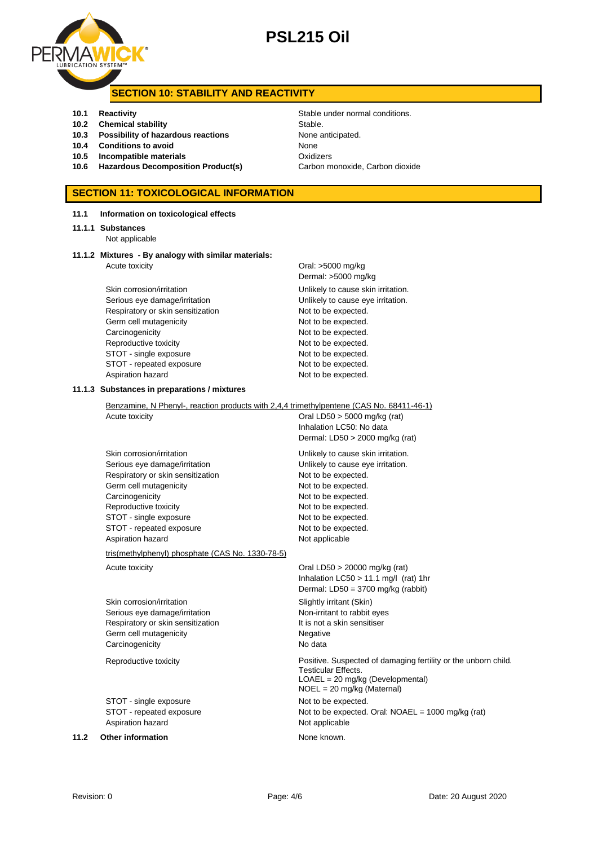

# **PSL215 Oil**

## **SECTION 10: STABILITY AND REACTIVITY**

- 
- **10.2 Chemical stability** Stable
- **10.3 Possibility of hazardous reactions** None anticipated.
- **10.4 Conditions to avoid** None
- **10.5 Incompatible materials** Oxidizers
- **10.6 Hazardous Decomposition Product(s)** Carbon monoxide, Carbon dioxide

## **SECTION 11: TOXICOLOGICAL INFORMATION**

### **11.1 Information on toxicological effects**

#### **11.1.1 Substances**

Not applicable

#### **11.1.2 Mixtures - By analogy with similar materials:** Acute toxicity **Acute in the Contract Contract Contract Contract Contract Contract Contract Contract Contract Contract Contract Contract Contract Contract Contract Contract Contract Contract Contract Contract Contract Cont**

Skin corrosion/irritation extending the Unlikely to cause skin irritation. Serious eye damage/irritation **Exercise 20** Unlikely to cause eye irritation. Respiratory or skin sensitization Not to be expected. Germ cell mutagenicity expected. Carcinogenicity **Not to be expected.** Reproductive toxicity Not to be expected. STOT - single exposure Not to be expected. STOT - repeated exposure Not to be expected. Aspiration hazard Not to be expected.

Dermal: >5000 mg/kg

#### **11.1.3 Substances in preparations / mixtures**

Benzamine, N Phenyl-, reaction products with 2,4,4 trimethylpentene (CAS No. 68411-46-1) Acute toxicity **Acute toxicity Oral LD50 > 5000 mg/kg (rat)** Inhalation LC50: No data Dermal: LD50 > 2000 mg/kg (rat) Skin corrosion/irritation **Unlikely to cause skin irritation**. Serious eye damage/irritation **Exercise 2018** Unlikely to cause eye irritation. Respiratory or skin sensitization Not to be expected. Germ cell mutagenicity expected. Carcinogenicity Carcinogenicity Not to be expected. Reproductive toxicity Not to be expected. STOT - single exposure Not to be expected. STOT - repeated exposure Not to be expected. Aspiration hazard Not applicable tris(methylphenyl) phosphate (CAS No. 1330-78-5) Acute toxicity **Acute toxicity** Oral LD50 > 20000 mg/kg (rat) Inhalation LC50 > 11.1 mg/l (rat) 1hr Dermal: LD50 = 3700 mg/kg (rabbit) Skin corrosion/irritation Skin Slightly irritant (Skin)

Serious eye damage/irritation Non-irritant to rabbit eyes Respiratory or skin sensitization It is not a skin sensitiser Germ cell mutagenicity **Negative** Negative Carcinogenicity **No data** 

Reproductive toxicity Positive. Suspected of damaging fertility or the unborn child.

STOT - single exposure Not to be expected. STOT - repeated exposure Not to be expected. Oral: NOAEL = 1000 mg/kg (rat) Aspiration hazard Not applicable

**11.2 Other information None known.** 

**10.1 Reactivity Constanting Stable under normal conditions.** 

Testicular Effects.

LOAEL = 20 mg/kg (Developmental) NOEL = 20 mg/kg (Maternal)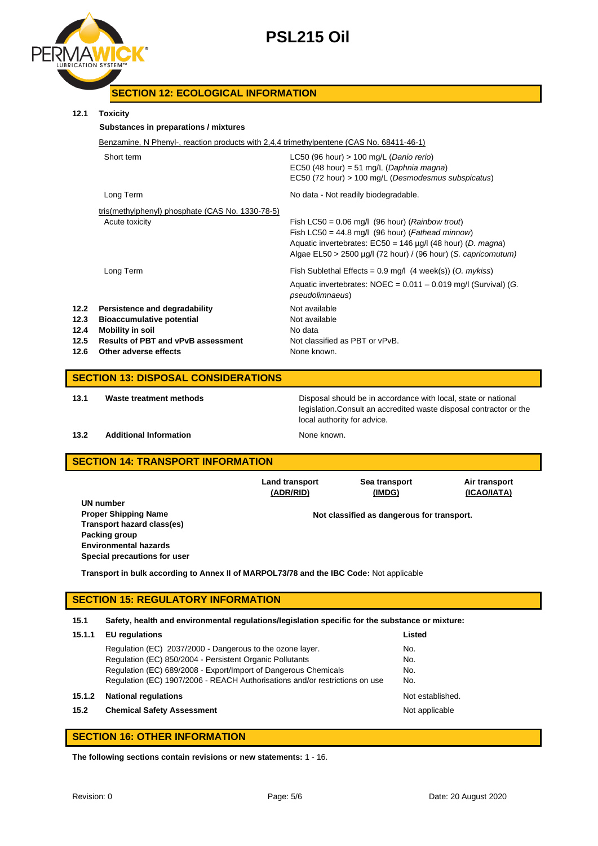



# **SECTION 12: ECOLOGICAL INFORMATION**

## **12.1 Toxicity**

## **Substances in preparations / mixtures**

| Benzamine, N Phenyl-, reaction products with 2,4,4 trimethylpentene (CAS No. 68411-46-1) |                                           |
|------------------------------------------------------------------------------------------|-------------------------------------------|
| Short term                                                                               | LC50 (96 hour) $> 100$ mg/L (Danio rerio) |

|                                      |                                                                                                                                                             | $EC50$ (48 hour) = 51 mg/L (Daphnia magna)<br>EC50 (72 hour) > 100 mg/L (Desmodesmus subspicatus)                                                                                                                                                            |
|--------------------------------------|-------------------------------------------------------------------------------------------------------------------------------------------------------------|--------------------------------------------------------------------------------------------------------------------------------------------------------------------------------------------------------------------------------------------------------------|
|                                      | Long Term                                                                                                                                                   | No data - Not readily biodegradable.                                                                                                                                                                                                                         |
|                                      | tris(methylphenyl) phosphate (CAS No. 1330-78-5)<br>Acute toxicity                                                                                          | Fish LC50 = $0.06$ mg/l (96 hour) ( <i>Rainbow trout</i> )<br>Fish LC50 = $44.8$ mg/l (96 hour) (Fathead minnow)<br>Aquatic invertebrates: $EC50 = 146 \mu g/l$ (48 hour) (D. magna)<br>Algae $EL50 > 2500 \mu q/l$ (72 hour) / (96 hour) (S. capricornutum) |
|                                      | Long Term                                                                                                                                                   | Fish Sublethal Effects = $0.9$ mg/l (4 week(s)) (O. mykiss)<br>Aquatic invertebrates: $NOEC = 0.011 - 0.019$ mg/l (Survival) (G.<br><i>pseudolimnaeus</i> )                                                                                                  |
| 12.2<br>12.3<br>12.4<br>12.5<br>12.6 | Persistence and degradability<br><b>Bioaccumulative potential</b><br>Mobility in soil<br><b>Results of PBT and vPvB assessment</b><br>Other adverse effects | Not available<br>Not available<br>No data<br>Not classified as PBT or vPvB.<br>None known.                                                                                                                                                                   |

## **SECTION 13: DISPOSAL CONSIDERATIONS**

**13.1 Waste treatment methods** Disposal should be in accordance with local, state or national legislation.Consult an accredited waste disposal contractor or the local authority for advice.

## **13.2 Additional Information None known.**

## **SECTION 14: TRANSPORT INFORMATION**

|                                                                                         | <b>Land transport</b><br>(ADR/RID) | Sea transport<br>(IMDG)                    | Air transport<br>(ICAO/IATA) |  |
|-----------------------------------------------------------------------------------------|------------------------------------|--------------------------------------------|------------------------------|--|
| UN number                                                                               |                                    |                                            |                              |  |
| <b>Proper Shipping Name</b>                                                             |                                    | Not classified as dangerous for transport. |                              |  |
| Transport hazard class(es)                                                              |                                    |                                            |                              |  |
| Packing group                                                                           |                                    |                                            |                              |  |
| <b>Environmental hazards</b>                                                            |                                    |                                            |                              |  |
| Special precautions for user                                                            |                                    |                                            |                              |  |
| Transport in bulk according to Annex II of MARPOL73/78 and the IBC Code: Not applicable |                                    |                                            |                              |  |

## **SECTION 15: REGULATORY INFORMATION**

**15.1 Safety, health and environmental regulations/legislation specific for the substance or mixture:**

| 15.1.1 | <b>EU</b> regulations                                                       | Listed           |
|--------|-----------------------------------------------------------------------------|------------------|
|        | Regulation (EC) 2037/2000 - Dangerous to the ozone layer.                   | No.              |
|        | Regulation (EC) 850/2004 - Persistent Organic Pollutants                    | No.              |
|        | Regulation (EC) 689/2008 - Export/Import of Dangerous Chemicals             | No.              |
|        | Regulation (EC) 1907/2006 - REACH Authorisations and/or restrictions on use | No.              |
| 15.1.2 | <b>National regulations</b>                                                 | Not established. |
| 15.2   | <b>Chemical Safety Assessment</b>                                           | Not applicable   |
|        |                                                                             |                  |

## **SECTION 16: OTHER INFORMATION**

**The following sections contain revisions or new statements:** 1 - 16.